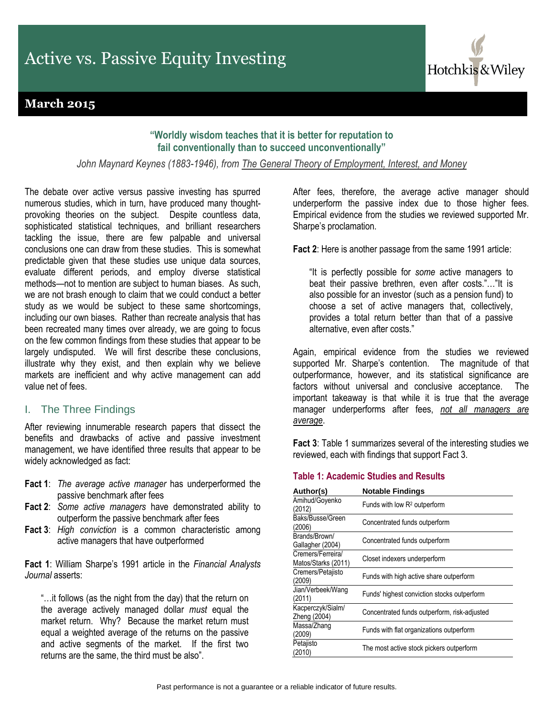# **March 2015**

## **"[Worldly](http://www.brainyquote.com/quotes/quotes/v/victorhugo385868.html) wisdom teaches that it is better for reputation to fail conventionally than to succeed unconventionally"**

*John Maynard Keynes (1883-1946), from The General Theory of Employment, Interest, and Money*

The debate over active versus passive investing has spurred numerous studies, which in turn, have produced many thoughtprovoking theories on the subject. Despite countless data, sophisticated statistical techniques, and brilliant researchers tackling the issue, there are few palpable and universal conclusions one can draw from these studies. This is somewhat predictable given that these studies use unique data sources, evaluate different periods, and employ diverse statistical methods—not to mention are subject to human biases. As such, we are not brash enough to claim that we could conduct a better study as we would be subject to these same shortcomings, including our own biases. Rather than recreate analysis that has been recreated many times over already, we are going to focus on the few common findings from these studies that appear to be largely undisputed. We will first describe these conclusions, illustrate why they exist, and then explain why we believe markets are inefficient and why active management can add value net of fees.

### I. The Three Findings

After reviewing innumerable research papers that dissect the benefits and drawbacks of active and passive investment management, we have identified three results that appear to be widely acknowledged as fact:

- **Fact 1**: *The average active manager* has underperformed the passive benchmark after fees
- **Fact 2**: *Some active managers* have demonstrated ability to outperform the passive benchmark after fees
- **Fact 3**: *High conviction* is a common characteristic among active managers that have outperformed

**Fact 1**: William Sharpe's 1991 article in the *Financial Analysts Journal* asserts:

"…it follows (as the night from the day) that the return on the average actively managed dollar *must* equal the market return. Why? Because the market return must equal a weighted average of the returns on the passive and active segments of the market. If the first two returns are the same, the third must be also".

After fees, therefore, the average active manager should underperform the passive index due to those higher fees. Empirical evidence from the studies we reviewed supported Mr. Sharpe's proclamation.

Hotchkis & Wiley

**Fact 2**: Here is another passage from the same 1991 article:

"It is perfectly possible for *some* active managers to beat their passive brethren, even after costs."…"It is also possible for an investor (such as a pension fund) to choose a set of active managers that, collectively, provides a total return better than that of a passive alternative, even after costs."

Again, empirical evidence from the studies we reviewed supported Mr. Sharpe's contention. The magnitude of that outperformance, however, and its statistical significance are factors without universal and conclusive acceptance. The important takeaway is that while it is true that the average manager underperforms after fees, *not all managers are average*.

**Fact 3**: Table 1 summarizes several of the interesting studies we reviewed, each with findings that support Fact 3.

### **Table 1: Academic Studies and Results**

| Author(s)                                | <b>Notable Findings</b>                      |  |  |
|------------------------------------------|----------------------------------------------|--|--|
| Amihud/Goyenko<br>(2012)                 | Funds with low R <sup>2</sup> outperform     |  |  |
| Baks/Busse/Green<br>(2006)               | Concentrated funds outperform                |  |  |
| Brands/Brown/<br>Gallagher (2004)        | Concentrated funds outperform                |  |  |
| Cremers/Ferreira/<br>Matos/Starks (2011) | Closet indexers underperform                 |  |  |
| Cremers/Petajisto<br>(2009)              | Funds with high active share outperform      |  |  |
| Jian/Verbeek/Wang<br>(2011)              | Funds' highest conviction stocks outperform  |  |  |
| Kacperczyk/Sialm/<br>Zheng (2004)        | Concentrated funds outperform, risk-adjusted |  |  |
| Massa/Zhang<br>(2009)                    | Funds with flat organizations outperform     |  |  |
| Petajisto<br>(2010)                      | The most active stock pickers outperform     |  |  |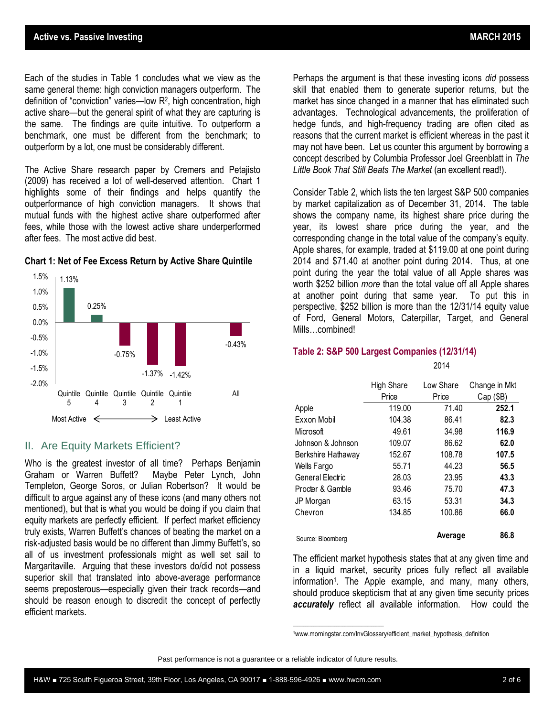Each of the studies in Table 1 concludes what we view as the same general theme: high conviction managers outperform. The definition of "conviction" varies—low R<sup>2</sup> , high concentration, high active share—but the general spirit of what they are capturing is the same. The findings are quite intuitive. To outperform a benchmark, one must be different from the benchmark; to

The Active Share research paper by Cremers and Petajisto (2009) has received a lot of well-deserved attention. Chart 1 highlights some of their findings and helps quantify the outperformance of high conviction managers. It shows that mutual funds with the highest active share outperformed after fees, while those with the lowest active share underperformed after fees. The most active did best.

outperform by a lot, one must be considerably different.



#### **Chart 1: Net of Fee Excess Return by Active Share Quintile**

### II. Are Equity Markets Efficient?

Who is the greatest investor of all time? Perhaps Benjamin Graham or Warren Buffett? Maybe Peter Lynch, John Templeton, George Soros, or Julian Robertson? It would be difficult to argue against any of these icons (and many others not mentioned), but that is what you would be doing if you claim that equity markets are perfectly efficient. If perfect market efficiency truly exists, Warren Buffett's chances of beating the market on a risk-adjusted basis would be no different than Jimmy Buffett's, so all of us investment professionals might as well set sail to Margaritaville. Arguing that these investors do/did not possess superior skill that translated into above-average performance seems preposterous—especially given their track records—and should be reason enough to discredit the concept of perfectly efficient markets.

Perhaps the argument is that these investing icons *did* possess skill that enabled them to generate superior returns, but the market has since changed in a manner that has eliminated such advantages. Technological advancements, the proliferation of hedge funds, and high-frequency trading are often cited as reasons that the current market is efficient whereas in the past it may not have been. Let us counter this argument by borrowing a concept described by Columbia Professor Joel Greenblatt in *The Little Book That Still Beats The Market* (an excellent read!).

Consider Table 2, which lists the ten largest S&P 500 companies by market capitalization as of December 31, 2014. The table shows the company name, its highest share price during the year, its lowest share price during the year, and the corresponding change in the total value of the company's equity. Apple shares, for example, traded at \$119.00 at one point during 2014 and \$71.40 at another point during 2014. Thus, at one point during the year the total value of all Apple shares was worth \$252 billion *more* than the total value off all Apple shares at another point during that same year. To put this in perspective, \$252 billion is more than the 12/31/14 equity value of Ford, General Motors, Caterpillar, Target, and General Mills…combined!

#### **Table 2: S&P 500 Largest Companies (12/31/14)**

2014

|                    | High Share<br>Price | Low Share<br>Price | Change in Mkt<br>Cap (\$B) |
|--------------------|---------------------|--------------------|----------------------------|
| Apple              | 119.00              | 71.40              | 252.1                      |
| Exxon Mobil        | 104.38              | 86.41              | 82.3                       |
| Microsoft          | 49.61               | 34.98              | 116.9                      |
| Johnson & Johnson  | 109.07              | 86.62              | 62.0                       |
| Berkshire Hathaway | 152.67              | 108.78             | 107.5                      |
| Wells Fargo        | 55.71               | 44.23              | 56.5                       |
| General Electric   | 28.03               | 23.95              | 43.3                       |
| Procter & Gamble   | 93.46               | 75.70              | 47.3                       |
| JP Morgan          | 63.15               | 53.31              | 34.3                       |
| Chevron            | 134.85              | 100.86             | 66.0                       |
| Source: Bloomberg  |                     | Average            | 86.8                       |

The efficient market hypothesis states that at any given time and in a liquid market, security prices fully reflect all available information<sup>1</sup>. The Apple example, and many, many others, should produce skepticism that at any given time security prices *accurately* reflect all available information. How could the

\_\_\_\_\_\_\_\_\_\_\_\_\_\_\_\_\_\_\_\_\_\_\_\_\_\_\_\_\_\_\_\_\_\_\_\_\_\_\_\_\_\_\_\_

<sup>1</sup>www.morningstar.com/InvGlossary/efficient\_market\_hypothesis\_definition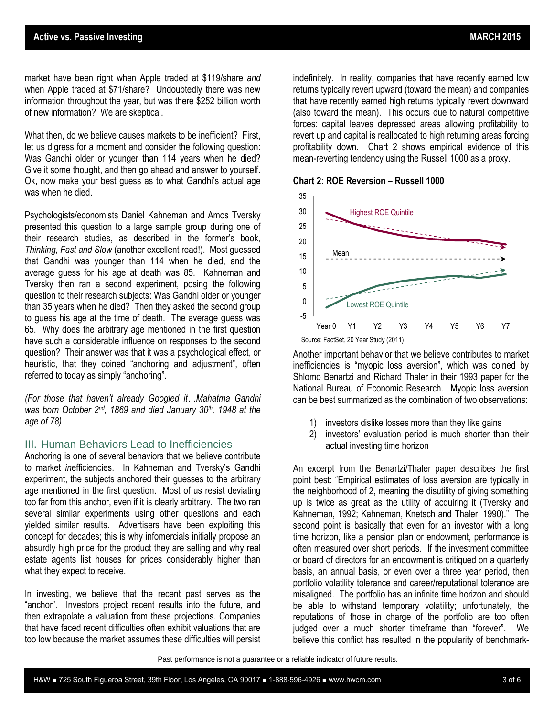market have been right when Apple traded at \$119/share *and* when Apple traded at \$71/share? Undoubtedly there was new information throughout the year, but was there \$252 billion worth of new information? We are skeptical.

What then, do we believe causes markets to be inefficient? First, let us digress for a moment and consider the following question: Was Gandhi older or younger than 114 years when he died? Give it some thought, and then go ahead and answer to yourself. Ok, now make your best guess as to what Gandhi's actual age was when he died.

Psychologists/economists Daniel Kahneman and Amos Tversky presented this question to a large sample group during one of their research studies, as described in the former's book, *Thinking, Fast and Slow* (another excellent read!). Most guessed that Gandhi was younger than 114 when he died, and the average guess for his age at death was 85. Kahneman and Tversky then ran a second experiment, posing the following question to their research subjects: Was Gandhi older or younger than 35 years when he died? Then they asked the second group to guess his age at the time of death. The average guess was 65. Why does the arbitrary age mentioned in the first question have such a considerable influence on responses to the second question? Their answer was that it was a psychological effect, or heuristic, that they coined "anchoring and adjustment", often referred to today as simply "anchoring".

*(For those that haven't already Googled it…Mahatma Gandhi was born October 2nd, 1869 and died January 30th , 1948 at the age of 78)*

### III. Human Behaviors Lead to Inefficiencies

Anchoring is one of several behaviors that we believe contribute to market *in*efficiencies. In Kahneman and Tversky's Gandhi experiment, the subjects anchored their guesses to the arbitrary age mentioned in the first question. Most of us resist deviating too far from this anchor, even if it is clearly arbitrary. The two ran several similar experiments using other questions and each yielded similar results. Advertisers have been exploiting this concept for decades; this is why infomercials initially propose an absurdly high price for the product they are selling and why real estate agents list houses for prices considerably higher than what they expect to receive.

In investing, we believe that the recent past serves as the "anchor". Investors project recent results into the future, and then extrapolate a valuation from these projections. Companies that have faced recent difficulties often exhibit valuations that are too low because the market assumes these difficulties will persist indefinitely. In reality, companies that have recently earned low returns typically revert upward (toward the mean) and companies that have recently earned high returns typically revert downward (also toward the mean). This occurs due to natural competitive forces: capital leaves depressed areas allowing profitability to revert up and capital is reallocated to high returning areas forcing profitability down. Chart 2 shows empirical evidence of this mean-reverting tendency using the Russell 1000 as a proxy.

**Chart 2: ROE Reversion – Russell 1000**



Source: FactSet, 20 Year Study (2011)

Another important behavior that we believe contributes to market inefficiencies is "myopic loss aversion", which was coined by Shlomo Benartzi and Richard Thaler in their 1993 paper for the National Bureau of Economic Research. Myopic loss aversion can be best summarized as the combination of two observations:

- 1) investors dislike losses more than they like gains
- 2) investors' evaluation period is much shorter than their actual investing time horizon

An excerpt from the Benartzi/Thaler paper describes the first point best: "Empirical estimates of loss aversion are typically in the neighborhood of 2, meaning the disutility of giving something up is twice as great as the utility of acquiring it (Tversky and Kahneman, 1992; Kahneman, Knetsch and Thaler, 1990)." The second point is basically that even for an investor with a long time horizon, like a pension plan or endowment, performance is often measured over short periods. If the investment committee or board of directors for an endowment is critiqued on a quarterly basis, an annual basis, or even over a three year period, then portfolio volatility tolerance and career/reputational tolerance are misaligned. The portfolio has an infinite time horizon and should be able to withstand temporary volatility; unfortunately, the reputations of those in charge of the portfolio are too often judged over a much shorter timeframe than "forever". We believe this conflict has resulted in the popularity of benchmark-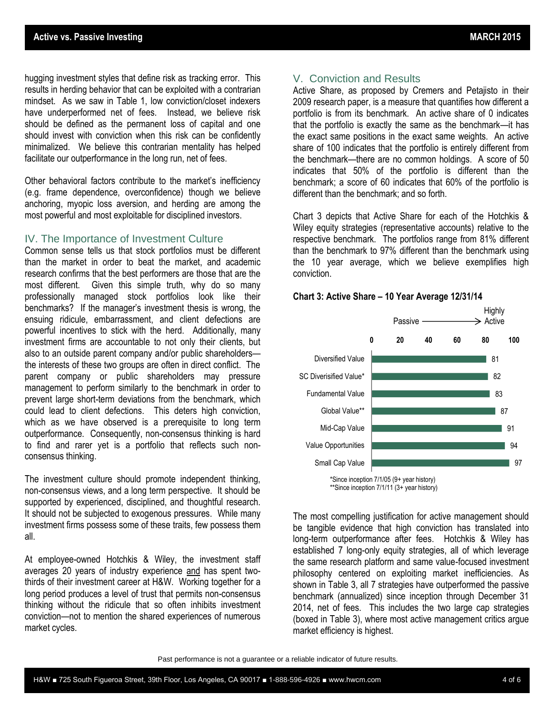hugging investment styles that define risk as tracking error. This results in herding behavior that can be exploited with a contrarian mindset. As we saw in Table 1, low conviction/closet indexers have underperformed net of fees. Instead, we believe risk should be defined as the permanent loss of capital and one should invest with conviction when this risk can be confidently minimalized. We believe this contrarian mentality has helped facilitate our outperformance in the long run, net of fees.

Other behavioral factors contribute to the market's inefficiency (e.g. frame dependence, overconfidence) though we believe anchoring, myopic loss aversion, and herding are among the most powerful and most exploitable for disciplined investors.

#### IV. The Importance of Investment Culture

Common sense tells us that stock portfolios must be different than the market in order to beat the market, and academic research confirms that the best performers are those that are the most different. Given this simple truth, why do so many professionally managed stock portfolios look like their benchmarks? If the manager's investment thesis is wrong, the ensuing ridicule, embarrassment, and client defections are powerful incentives to stick with the herd. Additionally, many investment firms are accountable to not only their clients, but also to an outside parent company and/or public shareholders the interests of these two groups are often in direct conflict. The parent company or public shareholders may pressure management to perform similarly to the benchmark in order to prevent large short-term deviations from the benchmark, which could lead to client defections. This deters high conviction, which as we have observed is a prerequisite to long term outperformance. Consequently, non-consensus thinking is hard to find and rarer yet is a portfolio that reflects such nonconsensus thinking.

The investment culture should promote independent thinking, non-consensus views, and a long term perspective. It should be supported by experienced, disciplined, and thoughtful research. It should not be subjected to exogenous pressures. While many investment firms possess some of these traits, few possess them all.

At employee-owned Hotchkis & Wiley, the investment staff averages 20 years of industry experience and has spent twothirds of their investment career at H&W. Working together for a long period produces a level of trust that permits non-consensus thinking without the ridicule that so often inhibits investment conviction—not to mention the shared experiences of numerous market cycles.

# V. Conviction and Results

Active Share, as proposed by Cremers and Petajisto in their 2009 research paper, is a measure that quantifies how different a portfolio is from its benchmark. An active share of 0 indicates that the portfolio is exactly the same as the benchmark—it has the exact same positions in the exact same weights. An active share of 100 indicates that the portfolio is entirely different from the benchmark—there are no common holdings. A score of 50 indicates that 50% of the portfolio is different than the benchmark; a score of 60 indicates that 60% of the portfolio is different than the benchmark; and so forth.

Chart 3 depicts that Active Share for each of the Hotchkis & Wiley equity strategies (representative accounts) relative to the respective benchmark. The portfolios range from 81% different than the benchmark to 97% different than the benchmark using the 10 year average, which we believe exemplifies high conviction.

### **Chart 3: Active Share – 10 Year Average 12/31/14**



\*\*Since inception 7/1/11 (3+ year history)

The most compelling justification for active management should be tangible evidence that high conviction has translated into long-term outperformance after fees. Hotchkis & Wiley has established 7 long-only equity strategies, all of which leverage the same research platform and same value-focused investment philosophy centered on exploiting market inefficiencies. As shown in Table 3, all 7 strategies have outperformed the passive benchmark (annualized) since inception through December 31 2014, net of fees. This includes the two large cap strategies (boxed in Table 3), where most active management critics argue market efficiency is highest.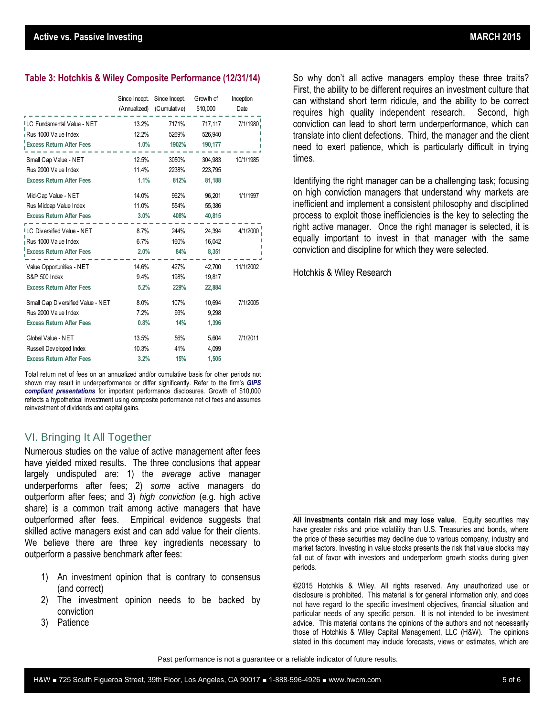#### **Table 3: Hotchkis & Wiley Composite Performance (12/31/14)**

|                                         | Since Incept.<br>(Annualized) | Since Incept.<br>(Cumulative) | Growth of<br>\$10,000 | Inception<br>Date |
|-----------------------------------------|-------------------------------|-------------------------------|-----------------------|-------------------|
| <sup>I</sup> LC Fundamental Value - NET | 13.2%                         | 7171%                         | 717,117               | 7/1/1980          |
| Rus 1000 Value Index                    | 12.2%                         | 5269%                         | 526,940               |                   |
| <b>Excess Return After Fees</b>         | 1.0%                          | 1902%                         | 190,177               |                   |
| Small Cap Value - NET                   | 12.5%                         | 3050%                         | 304.983               | 10/1/1985         |
| Rus 2000 Value Index                    | 11.4%                         | 2238%                         | 223,795               |                   |
| <b>Excess Return After Fees</b>         | 1.1%                          | 812%                          | 81,188                |                   |
| Mid-Cap Value - NET                     | 14.0%                         | 962%                          | 96.201                | 1/1/1997          |
| Rus Midcap Value Index                  | 11.0%                         | 554%                          | 55,386                |                   |
| <b>Excess Return After Fees</b>         | 3.0%                          | 408%                          | 40,815                |                   |
| <sup>ILC</sup> Diversified Value - NET  | 8.7%                          | 244%                          | 24,394                | 4/1/2000          |
| Rus 1000 Value Index                    | 6.7%                          | 160%                          | 16,042                |                   |
| <b>Excess Return After Fees</b>         | 2.0%                          | 84%                           | 8,351                 |                   |
| Value Opportunities - NET               | 14.6%                         | 427%                          | 42,700                | 11/1/2002         |
| S&P 500 Index                           | 9.4%                          | 198%                          | 19.817                |                   |
| <b>Excess Return After Fees</b>         | 5.2%                          | 229%                          | 22,884                |                   |
| Small Cap Diversified Value - NET       | 8.0%                          | 107%                          | 10,694                | 7/1/2005          |
| Rus 2000 Value Index                    | 7.2%                          | 93%                           | 9,298                 |                   |
| <b>Excess Return After Fees</b>         | 0.8%                          | 14%                           | 1,396                 |                   |
| Global Value - NET                      | 13.5%                         | 56%                           | 5,604                 | 7/1/2011          |
| Russell Developed Index                 | 10.3%                         | 41%                           | 4,099                 |                   |
| <b>Excess Return After Fees</b>         | 3.2%                          | 15%                           | 1,505                 |                   |

Total return net of fees on an annualized and/or cumulative basis for other periods not shown may result in underperformance or differ significantly. Refer to the firm's *[GIPS](http://www.hwcm.com/assets/documents/GIPS-Performance/HW-GIPS-Compliant-Presentations-Active-vs-Passive.pdf)  [compliant presentations](http://www.hwcm.com/assets/documents/GIPS-Performance/HW-GIPS-Compliant-Presentations-Active-vs-Passive.pdf)* for important performance disclosures. Growth of \$10,000 reflects a hypothetical investment using composite performance net of fees and assumes reinvestment of dividends and capital gains.

### VI. Bringing It All Together

Numerous studies on the value of active management after fees have yielded mixed results. The three conclusions that appear largely undisputed are: 1) the *average* active manager underperforms after fees; 2) *some* active managers do outperform after fees; and 3) *high conviction* (e.g. high active share) is a common trait among active managers that have outperformed after fees. Empirical evidence suggests that skilled active managers exist and can add value for their clients. We believe there are three key ingredients necessary to outperform a passive benchmark after fees:

- 1) An investment opinion that is contrary to consensus (and correct)
- 2) The investment opinion needs to be backed by conviction
- 3) Patience

So why don't all active managers employ these three traits? First, the ability to be different requires an investment culture that can withstand short term ridicule, and the ability to be correct requires high quality independent research. Second, high conviction can lead to short term underperformance, which can translate into client defections. Third, the manager and the client need to exert patience, which is particularly difficult in trying times.

Identifying the right manager can be a challenging task; focusing on high conviction managers that understand why markets are inefficient and implement a consistent philosophy and disciplined process to exploit those inefficiencies is the key to selecting the right active manager. Once the right manager is selected, it is equally important to invest in that manager with the same conviction and discipline for which they were selected.

Hotchkis & Wiley Research

**All investments contain risk and may lose value**. Equity securities may have greater risks and price volatility than U.S. Treasuries and bonds, where the price of these securities may decline due to various company, industry and market factors. Investing in value stocks presents the risk that value stocks may fall out of favor with investors and underperform growth stocks during given periods.

\_\_\_\_\_\_\_\_\_\_\_\_\_\_\_\_\_\_\_\_\_\_\_\_\_\_\_\_\_\_\_\_\_\_\_\_\_\_

©2015 Hotchkis & Wiley. All rights reserved. Any unauthorized use or disclosure is prohibited. This material is for general information only, and does not have regard to the specific investment objectives, financial situation and particular needs of any specific person. It is not intended to be investment advice. This material contains the opinions of the authors and not necessarily those of Hotchkis & Wiley Capital Management, LLC (H&W). The opinions stated in this document may include forecasts, views or estimates, which are